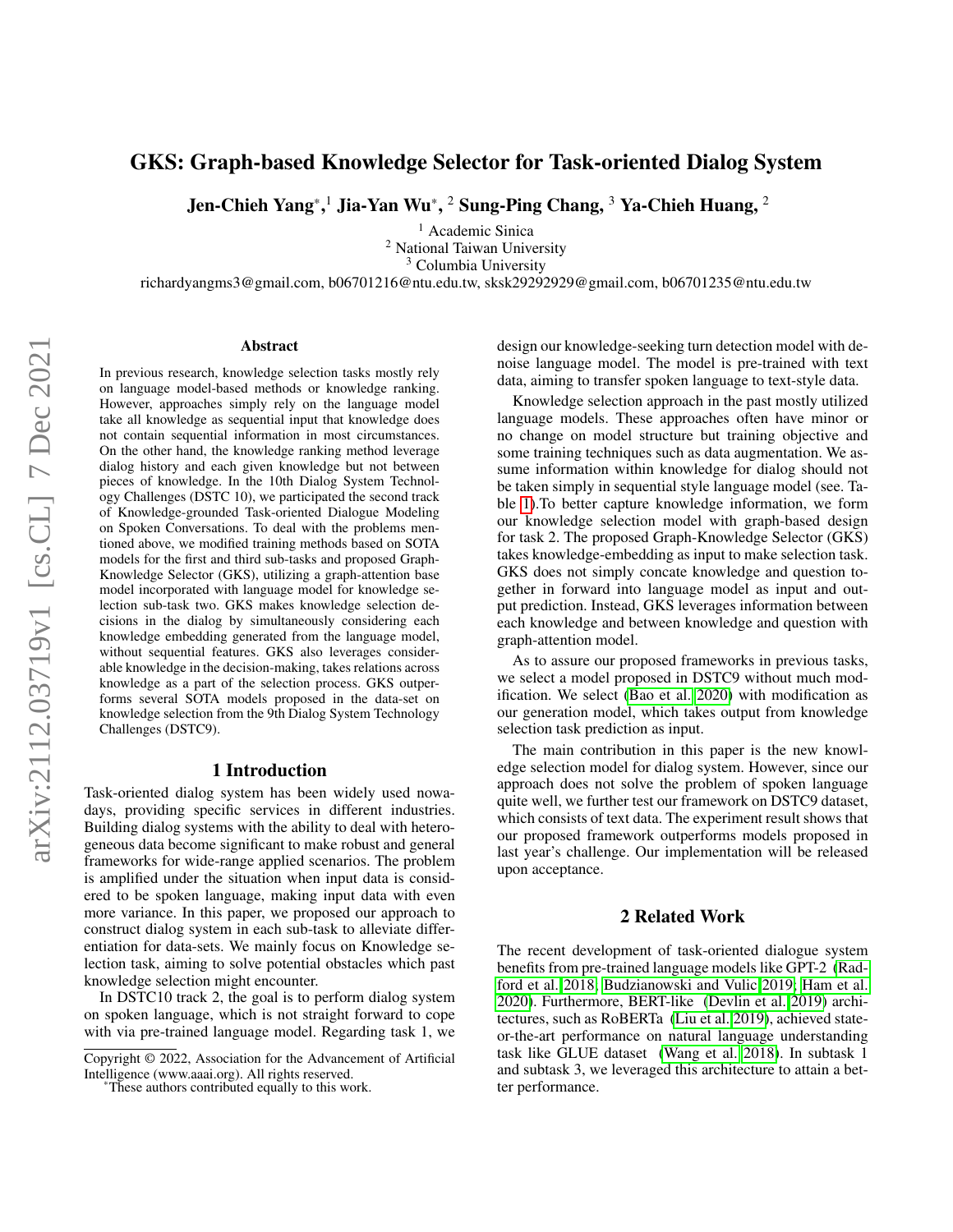# GKS: Graph-based Knowledge Selector for Task-oriented Dialog System

Jen-Chieh Yang\*,1 Jia-Yan Wu\*, 2 Sung-Ping Chang, 3 Ya-Chieh Huang, 2

<sup>1</sup> Academic Sinica

<sup>2</sup> National Taiwan University

<sup>3</sup> Columbia University

richardyangms3@gmail.com, b06701216@ntu.edu.tw, sksk29292929@gmail.com, b06701235@ntu.edu.tw

#### Abstract

In previous research, knowledge selection tasks mostly rely on language model-based methods or knowledge ranking. However, approaches simply rely on the language model take all knowledge as sequential input that knowledge does not contain sequential information in most circumstances. On the other hand, the knowledge ranking method leverage dialog history and each given knowledge but not between pieces of knowledge. In the 10th Dialog System Technology Challenges (DSTC 10), we participated the second track of Knowledge-grounded Task-oriented Dialogue Modeling on Spoken Conversations. To deal with the problems mentioned above, we modified training methods based on SOTA models for the first and third sub-tasks and proposed Graph-Knowledge Selector (GKS), utilizing a graph-attention base model incorporated with language model for knowledge selection sub-task two. GKS makes knowledge selection decisions in the dialog by simultaneously considering each knowledge embedding generated from the language model, without sequential features. GKS also leverages considerable knowledge in the decision-making, takes relations across knowledge as a part of the selection process. GKS outperforms several SOTA models proposed in the data-set on knowledge selection from the 9th Dialog System Technology Challenges (DSTC9).

#### 1 Introduction

Task-oriented dialog system has been widely used nowadays, providing specific services in different industries. Building dialog systems with the ability to deal with heterogeneous data become significant to make robust and general frameworks for wide-range applied scenarios. The problem is amplified under the situation when input data is considered to be spoken language, making input data with even more variance. In this paper, we proposed our approach to construct dialog system in each sub-task to alleviate differentiation for data-sets. We mainly focus on Knowledge selection task, aiming to solve potential obstacles which past knowledge selection might encounter.

In DSTC10 track 2, the goal is to perform dialog system on spoken language, which is not straight forward to cope with via pre-trained language model. Regarding task 1, we design our knowledge-seeking turn detection model with denoise language model. The model is pre-trained with text data, aiming to transfer spoken language to text-style data.

Knowledge selection approach in the past mostly utilized language models. These approaches often have minor or no change on model structure but training objective and some training techniques such as data augmentation. We assume information within knowledge for dialog should not be taken simply in sequential style language model (see. Table [1\)](#page-1-0).To better capture knowledge information, we form our knowledge selection model with graph-based design for task 2. The proposed Graph-Knowledge Selector (GKS) takes knowledge-embedding as input to make selection task. GKS does not simply concate knowledge and question together in forward into language model as input and output prediction. Instead, GKS leverages information between each knowledge and between knowledge and question with graph-attention model.

As to assure our proposed frameworks in previous tasks, we select a model proposed in DSTC9 without much modification. We select [\(Bao et al. 2020\)](#page-4-0) with modification as our generation model, which takes output from knowledge selection task prediction as input.

The main contribution in this paper is the new knowledge selection model for dialog system. However, since our approach does not solve the problem of spoken language quite well, we further test our framework on DSTC9 dataset, which consists of text data. The experiment result shows that our proposed framework outperforms models proposed in last year's challenge. Our implementation will be released upon acceptance.

## 2 Related Work

The recent development of task-oriented dialogue system benefits from pre-trained language models like GPT-2 [\(Rad](#page-4-1)[ford et al. 2018;](#page-4-1) [Budzianowski and Vulic 2019;](#page-4-2) [Ham et al.](#page-4-3) [2020\)](#page-4-3). Furthermore, BERT-like [\(Devlin et al. 2019\)](#page-4-4) architectures, such as RoBERTa [\(Liu et al. 2019\)](#page-4-5), achieved stateor-the-art performance on natural language understanding task like GLUE dataset [\(Wang et al. 2018\)](#page-4-6). In subtask 1 and subtask 3, we leveraged this architecture to attain a better performance.

Copyright © 2022, Association for the Advancement of Artificial Intelligence (www.aaai.org). All rights reserved.

<sup>\*</sup>These authors contributed equally to this work.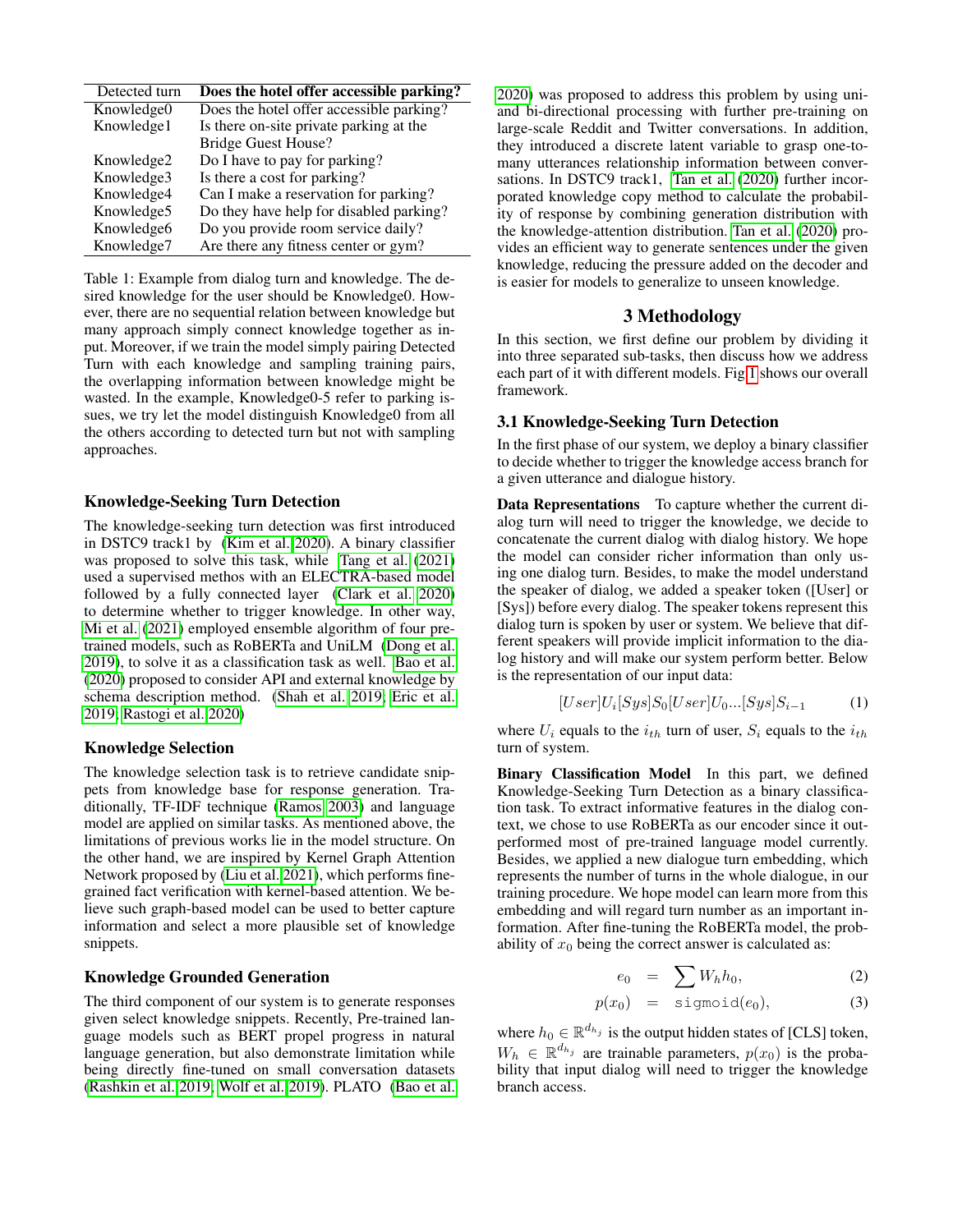<span id="page-1-0"></span>

| Detected turn          | Does the hotel offer accessible parking? |
|------------------------|------------------------------------------|
| Knowledge0             | Does the hotel offer accessible parking? |
| Knowledge1             | Is there on-site private parking at the  |
|                        | <b>Bridge Guest House?</b>               |
| Knowledge2             | Do I have to pay for parking?            |
| Knowledge3             | Is there a cost for parking?             |
| Knowledge4             | Can I make a reservation for parking?    |
| Knowledge5             | Do they have help for disabled parking?  |
| Knowledge <sub>6</sub> | Do you provide room service daily?       |
| Knowledge7             | Are there any fitness center or gym?     |

Table 1: Example from dialog turn and knowledge. The desired knowledge for the user should be Knowledge0. However, there are no sequential relation between knowledge but many approach simply connect knowledge together as input. Moreover, if we train the model simply pairing Detected Turn with each knowledge and sampling training pairs, the overlapping information between knowledge might be wasted. In the example, Knowledge0-5 refer to parking issues, we try let the model distinguish Knowledge0 from all the others according to detected turn but not with sampling approaches.

#### Knowledge-Seeking Turn Detection

The knowledge-seeking turn detection was first introduced in DSTC9 track1 by [\(Kim et al. 2020\)](#page-4-7). A binary classifier was proposed to solve this task, while [Tang et al.](#page-4-8) [\(2021\)](#page-4-8) used a supervised methos with an ELECTRA-based model followed by a fully connected layer [\(Clark et al. 2020\)](#page-4-9) to determine whether to trigger knowledge. In other way, [Mi et al.](#page-4-10) [\(2021\)](#page-4-10) employed ensemble algorithm of four pretrained models, such as RoBERTa and UniLM [\(Dong et al.](#page-4-11) [2019\)](#page-4-11), to solve it as a classification task as well. [Bao et al.](#page-4-0) [\(2020\)](#page-4-0) proposed to consider API and external knowledge by schema description method. [\(Shah et al. 2019;](#page-4-12) [Eric et al.](#page-4-13) [2019;](#page-4-13) [Rastogi et al. 2020\)](#page-4-14)

#### Knowledge Selection

The knowledge selection task is to retrieve candidate snippets from knowledge base for response generation. Traditionally, TF-IDF technique [\(Ramos 2003\)](#page-4-15) and language model are applied on similar tasks. As mentioned above, the limitations of previous works lie in the model structure. On the other hand, we are inspired by Kernel Graph Attention Network proposed by [\(Liu et al. 2021\)](#page-4-16), which performs finegrained fact verification with kernel-based attention. We believe such graph-based model can be used to better capture information and select a more plausible set of knowledge snippets.

## Knowledge Grounded Generation

The third component of our system is to generate responses given select knowledge snippets. Recently, Pre-trained language models such as BERT propel progress in natural language generation, but also demonstrate limitation while being directly fine-tuned on small conversation datasets [\(Rashkin et al. 2019;](#page-4-17) [Wolf et al. 2019\)](#page-4-18). PLATO [\(Bao et al.](#page-4-0)

[2020\)](#page-4-0) was proposed to address this problem by using uniand bi-directional processing with further pre-training on large-scale Reddit and Twitter conversations. In addition, they introduced a discrete latent variable to grasp one-tomany utterances relationship information between conversations. In DSTC9 track1, [Tan et al.](#page-4-19) [\(2020\)](#page-4-19) further incorporated knowledge copy method to calculate the probability of response by combining generation distribution with the knowledge-attention distribution. [Tan et al.](#page-4-19) [\(2020\)](#page-4-19) provides an efficient way to generate sentences under the given knowledge, reducing the pressure added on the decoder and is easier for models to generalize to unseen knowledge.

## 3 Methodology

In this section, we first define our problem by dividing it into three separated sub-tasks, then discuss how we address each part of it with different models. Fig [1](#page-3-0) shows our overall framework.

#### 3.1 Knowledge-Seeking Turn Detection

In the first phase of our system, we deploy a binary classifier to decide whether to trigger the knowledge access branch for a given utterance and dialogue history.

Data Representations To capture whether the current dialog turn will need to trigger the knowledge, we decide to concatenate the current dialog with dialog history. We hope the model can consider richer information than only using one dialog turn. Besides, to make the model understand the speaker of dialog, we added a speaker token ([User] or [Sys]) before every dialog. The speaker tokens represent this dialog turn is spoken by user or system. We believe that different speakers will provide implicit information to the dialog history and will make our system perform better. Below is the representation of our input data:

$$
[User]U_i[Sys]S_0[User]U_0...[Sys]S_{i-1}
$$
 (1)

where  $U_i$  equals to the  $i_{th}$  turn of user,  $S_i$  equals to the  $i_{th}$ turn of system.

Binary Classification Model In this part, we defined Knowledge-Seeking Turn Detection as a binary classification task. To extract informative features in the dialog context, we chose to use RoBERTa as our encoder since it outperformed most of pre-trained language model currently. Besides, we applied a new dialogue turn embedding, which represents the number of turns in the whole dialogue, in our training procedure. We hope model can learn more from this embedding and will regard turn number as an important information. After fine-tuning the RoBERTa model, the probability of  $x_0$  being the correct answer is calculated as:

$$
e_0 = \sum W_h h_0, \tag{2}
$$

$$
p(x_0) = \text{sigmoid}(e_0), \tag{3}
$$

where  $h_0 \in \mathbb{R}^{d_{h_j}}$  is the output hidden states of [CLS] token,  $W_h \in \mathbb{R}^{d_{h_j}}$  are trainable parameters,  $p(x_0)$  is the probability that input dialog will need to trigger the knowledge branch access.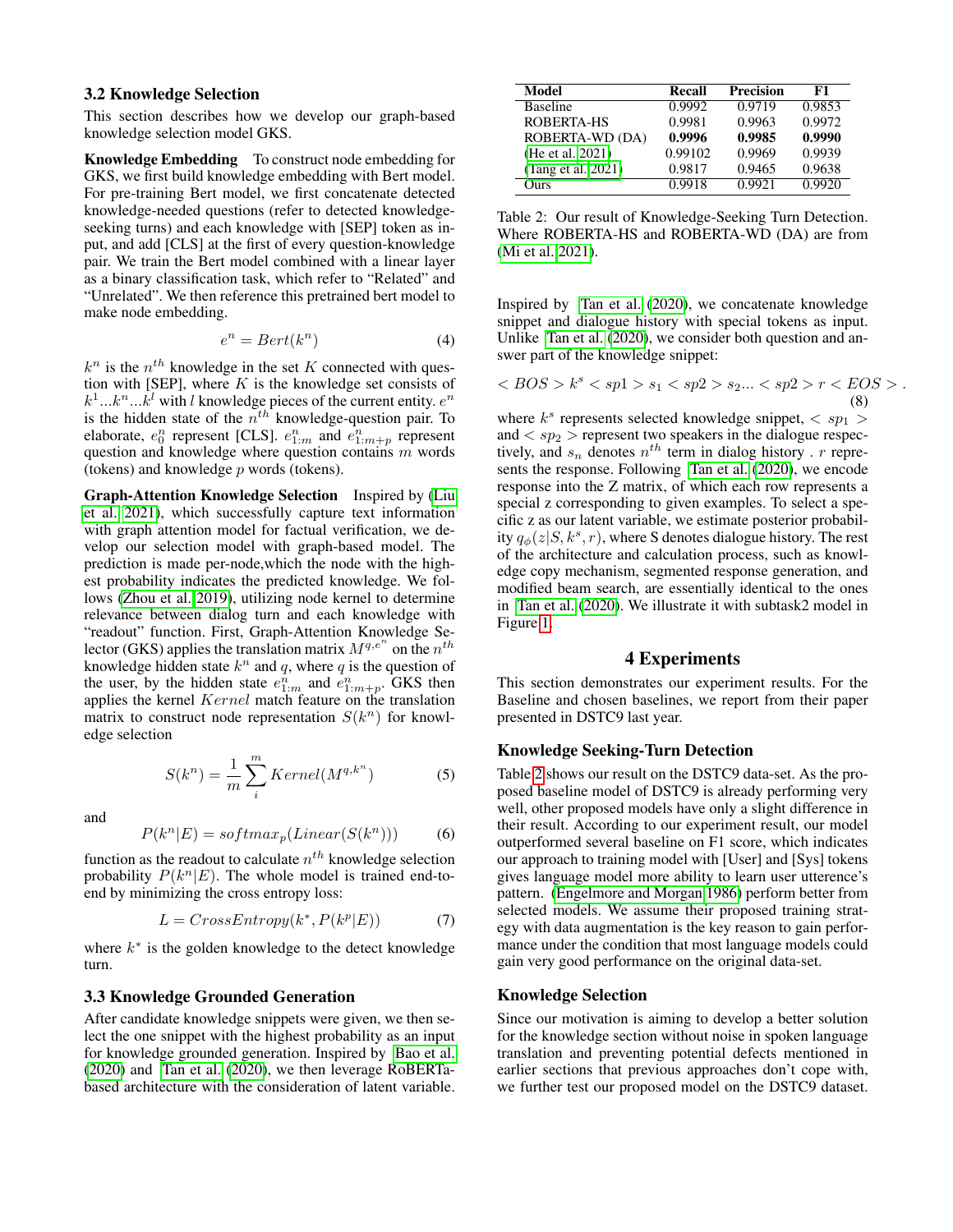#### 3.2 Knowledge Selection

This section describes how we develop our graph-based knowledge selection model GKS.

Knowledge Embedding To construct node embedding for GKS, we first build knowledge embedding with Bert model. For pre-training Bert model, we first concatenate detected knowledge-needed questions (refer to detected knowledgeseeking turns) and each knowledge with [SEP] token as input, and add [CLS] at the first of every question-knowledge pair. We train the Bert model combined with a linear layer as a binary classification task, which refer to "Related" and "Unrelated". We then reference this pretrained bert model to make node embedding.

$$
e^n = Bert(k^n) \tag{4}
$$

 $k^n$  is the  $n^{th}$  knowledge in the set K connected with question with [SEP], where  $K$  is the knowledge set consists of  $k^1...k^n...k^l$  with l knowledge pieces of the current entity.  $e^n$ is the hidden state of the  $n<sup>th</sup>$  knowledge-question pair. To elaborate,  $e_0^n$  represent [CLS].  $e_{1:m}^n$  and  $e_{1:m+p}^n$  represent question and knowledge where question contains  $m$  words (tokens) and knowledge  $p$  words (tokens).

Graph-Attention Knowledge Selection Inspired by [\(Liu](#page-4-16) [et al. 2021\)](#page-4-16), which successfully capture text information with graph attention model for factual verification, we develop our selection model with graph-based model. The prediction is made per-node,which the node with the highest probability indicates the predicted knowledge. We follows [\(Zhou et al. 2019\)](#page-4-20), utilizing node kernel to determine relevance between dialog turn and each knowledge with "readout" function. First, Graph-Attention Knowledge Selector (GKS) applies the translation matrix  $M^{q,e^n}$  on the  $n^{th}$ knowledge hidden state  $k^n$  and q, where q is the question of the user, by the hidden state  $e_{1:m}^{\overline{n}}$  and  $\overline{e}_{1:m+p}^{\overline{n}}$ . GKS then applies the kernel *Kernel* match feature on the translation matrix to construct node representation  $S(k^n)$  for knowledge selection

$$
S(k^n) = \frac{1}{m} \sum_{i}^{m} Kernel(M^{q,k^n})
$$
 (5)

and

$$
P(k^n|E) = softmax_p(Linear(S(k^n)))
$$
 (6)

function as the readout to calculate  $n^{th}$  knowledge selection probability  $P(k^n|E)$ . The whole model is trained end-toend by minimizing the cross entropy loss:

$$
L = CrossEntropy(k^*, P(k^p|E))
$$
 (7)

where  $k^*$  is the golden knowledge to the detect knowledge turn.

#### 3.3 Knowledge Grounded Generation

After candidate knowledge snippets were given, we then select the one snippet with the highest probability as an input for knowledge grounded generation. Inspired by [Bao et al.](#page-4-0) [\(2020\)](#page-4-0) and [Tan et al.](#page-4-19) [\(2020\)](#page-4-19), we then leverage RoBERTabased architecture with the consideration of latent variable.

<span id="page-2-0"></span>

| Model              | Recall  | <b>Precision</b> | F1     |
|--------------------|---------|------------------|--------|
| <b>Baseline</b>    | 0.9992  | 0.9719           | 0.9853 |
| ROBERTA-HS         | 0.9981  | 0.9963           | 0.9972 |
| ROBERTA-WD (DA)    | 0.9996  | 0.9985           | 0.9990 |
| (He et al. 2021)   | 0.99102 | 0.9969           | 0.9939 |
| (Tang et al. 2021) | 0.9817  | 0.9465           | 0.9638 |
| Ours)              | 0.9918  | 0.9921           | 0.9920 |

Table 2: Our result of Knowledge-Seeking Turn Detection. Where ROBERTA-HS and ROBERTA-WD (DA) are from [\(Mi et al. 2021\)](#page-4-10).

Inspired by [Tan et al.](#page-4-19) [\(2020\)](#page-4-19), we concatenate knowledge snippet and dialogue history with special tokens as input. Unlike [Tan et al.](#page-4-19) [\(2020\)](#page-4-19), we consider both question and answer part of the knowledge snippet:

$$
\langle BOS > k^s \langle sp1 > s_1 \langle sp2 > s_2 ... \langle sp2 > r \langle EOS > .
$$
\n(8)

where  $k^s$  represents selected knowledge snippet,  $\langle sp_1 \rangle$ and  $\langle sp_2 \rangle$  represent two speakers in the dialogue respectively, and  $s_n$  denotes  $n^{th}$  term in dialog history . r represents the response. Following [Tan et al.](#page-4-19) [\(2020\)](#page-4-19), we encode response into the Z matrix, of which each row represents a special z corresponding to given examples. To select a specific z as our latent variable, we estimate posterior probability  $q_{\phi}(z|S, k^s, r)$ , where S denotes dialogue history. The rest of the architecture and calculation process, such as knowledge copy mechanism, segmented response generation, and modified beam search, are essentially identical to the ones in [Tan et al.](#page-4-19) [\(2020\)](#page-4-19). We illustrate it with subtask2 model in Figure [1.](#page-3-0)

## 4 Experiments

This section demonstrates our experiment results. For the Baseline and chosen baselines, we report from their paper presented in DSTC9 last year.

#### Knowledge Seeking-Turn Detection

Table [2](#page-2-0) shows our result on the DSTC9 data-set. As the proposed baseline model of DSTC9 is already performing very well, other proposed models have only a slight difference in their result. According to our experiment result, our model outperformed several baseline on F1 score, which indicates our approach to training model with [User] and [Sys] tokens gives language model more ability to learn user utterence's pattern. [\(Engelmore and Morgan 1986\)](#page-4-22) perform better from selected models. We assume their proposed training strategy with data augmentation is the key reason to gain performance under the condition that most language models could gain very good performance on the original data-set.

#### Knowledge Selection

Since our motivation is aiming to develop a better solution for the knowledge section without noise in spoken language translation and preventing potential defects mentioned in earlier sections that previous approaches don't cope with, we further test our proposed model on the DSTC9 dataset.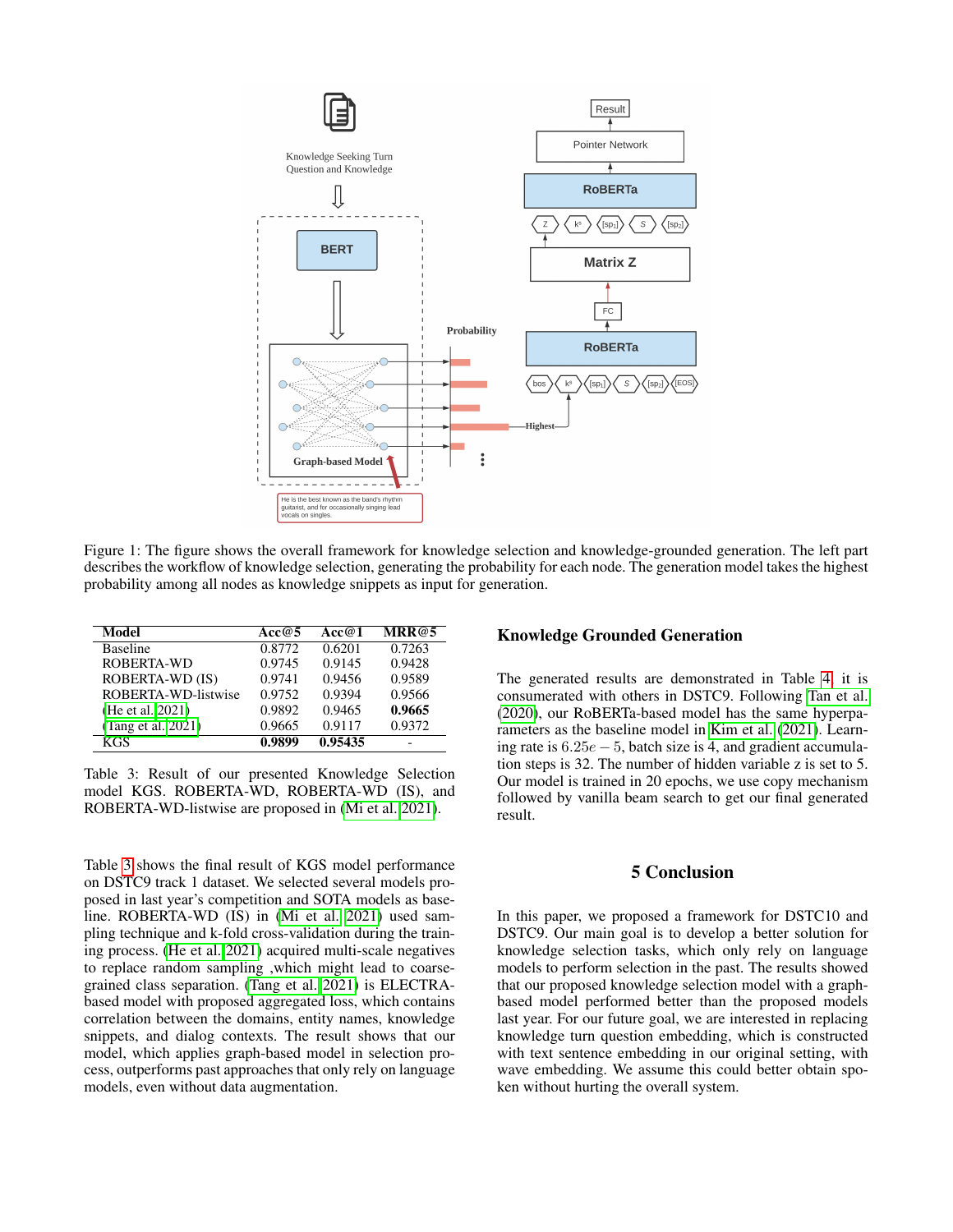<span id="page-3-0"></span>

Figure 1: The figure shows the overall framework for knowledge selection and knowledge-grounded generation. The left part describes the workflow of knowledge selection, generating the probability for each node. The generation model takes the highest probability among all nodes as knowledge snippets as input for generation.

<span id="page-3-1"></span>

| Model               | Acc@5  | Acc@1   | MRR@5  |
|---------------------|--------|---------|--------|
| <b>Baseline</b>     | 0.8772 | 0.6201  | 0.7263 |
| ROBERTA-WD          | 0.9745 | 0.9145  | 0.9428 |
| ROBERTA-WD (IS)     | 0.9741 | 0.9456  | 0.9589 |
| ROBERTA-WD-listwise | 0.9752 | 0.9394  | 0.9566 |
| (He et al. 2021)    | 0.9892 | 0.9465  | 0.9665 |
| (Tang et al. 2021)  | 0.9665 | 0.9117  | 0.9372 |
| <b>KGS</b>          | 0.9899 | 0.95435 |        |

Table 3: Result of our presented Knowledge Selection model KGS. ROBERTA-WD, ROBERTA-WD (IS), and ROBERTA-WD-listwise are proposed in [\(Mi et al. 2021\)](#page-4-10).

Table [3](#page-3-1) shows the final result of KGS model performance on DSTC9 track 1 dataset. We selected several models proposed in last year's competition and SOTA models as baseline. ROBERTA-WD (IS) in [\(Mi et al. 2021\)](#page-4-10) used sampling technique and k-fold cross-validation during the training process. [\(He et al. 2021\)](#page-4-21) acquired multi-scale negatives to replace random sampling ,which might lead to coarsegrained class separation. [\(Tang et al. 2021\)](#page-4-8) is ELECTRAbased model with proposed aggregated loss, which contains correlation between the domains, entity names, knowledge snippets, and dialog contexts. The result shows that our model, which applies graph-based model in selection process, outperforms past approaches that only rely on language models, even without data augmentation.

### Knowledge Grounded Generation

The generated results are demonstrated in Table [4,](#page-4-23) it is consumerated with others in DSTC9. Following [Tan et al.](#page-4-19) [\(2020\)](#page-4-19), our RoBERTa-based model has the same hyperparameters as the baseline model in [Kim et al.](#page-4-24) [\(2021\)](#page-4-24). Learning rate is  $6.25e - 5$ , batch size is 4, and gradient accumulation steps is 32. The number of hidden variable z is set to 5. Our model is trained in 20 epochs, we use copy mechanism followed by vanilla beam search to get our final generated result.

## 5 Conclusion

In this paper, we proposed a framework for DSTC10 and DSTC9. Our main goal is to develop a better solution for knowledge selection tasks, which only rely on language models to perform selection in the past. The results showed that our proposed knowledge selection model with a graphbased model performed better than the proposed models last year. For our future goal, we are interested in replacing knowledge turn question embedding, which is constructed with text sentence embedding in our original setting, with wave embedding. We assume this could better obtain spoken without hurting the overall system.